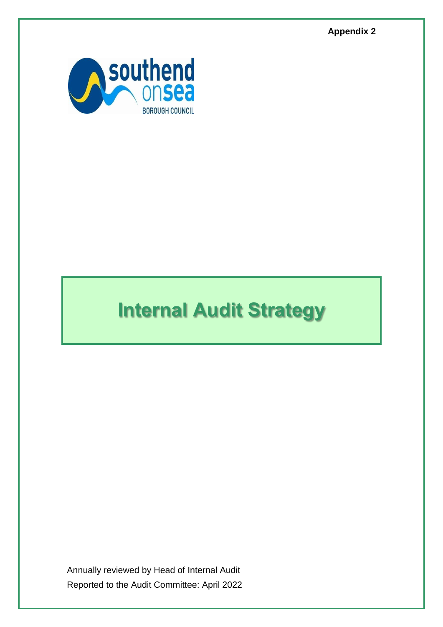**Appendix 2**



# **Internal Audit Strategy**

Annually reviewed by Head of Internal Audit Reported to the Audit Committee: April 2022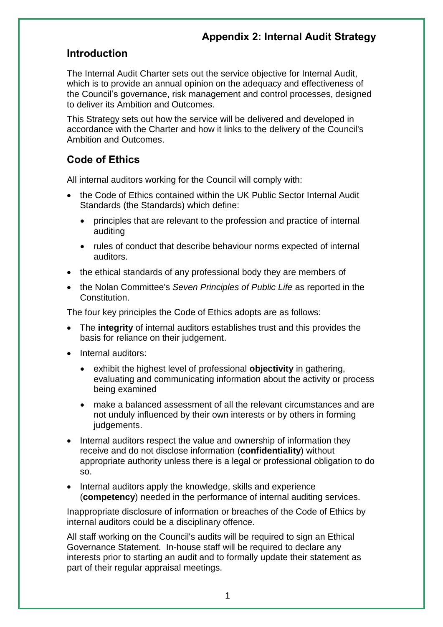#### **Introduction**

The Internal Audit Charter sets out the service objective for Internal Audit, which is to provide an annual opinion on the adequacy and effectiveness of the Council's governance, risk management and control processes, designed to deliver its Ambition and Outcomes.

This Strategy sets out how the service will be delivered and developed in accordance with the Charter and how it links to the delivery of the Council's Ambition and Outcomes.

## **Code of Ethics**

All internal auditors working for the Council will comply with:

- the Code of Ethics contained within the UK Public Sector Internal Audit Standards (the Standards) which define:
	- principles that are relevant to the profession and practice of internal auditing
	- rules of conduct that describe behaviour norms expected of internal auditors.
- the ethical standards of any professional body they are members of
- the Nolan Committee's *Seven Principles of Public Life* as reported in the Constitution.

The four key principles the Code of Ethics adopts are as follows:

- The **integrity** of internal auditors establishes trust and this provides the basis for reliance on their judgement.
- Internal auditors:
	- exhibit the highest level of professional **objectivity** in gathering, evaluating and communicating information about the activity or process being examined
	- make a balanced assessment of all the relevant circumstances and are not unduly influenced by their own interests or by others in forming judgements.
- Internal auditors respect the value and ownership of information they receive and do not disclose information (**confidentiality**) without appropriate authority unless there is a legal or professional obligation to do so.
- Internal auditors apply the knowledge, skills and experience (**competency**) needed in the performance of internal auditing services.

Inappropriate disclosure of information or breaches of the Code of Ethics by internal auditors could be a disciplinary offence.

All staff working on the Council's audits will be required to sign an Ethical Governance Statement. In-house staff will be required to declare any interests prior to starting an audit and to formally update their statement as part of their regular appraisal meetings.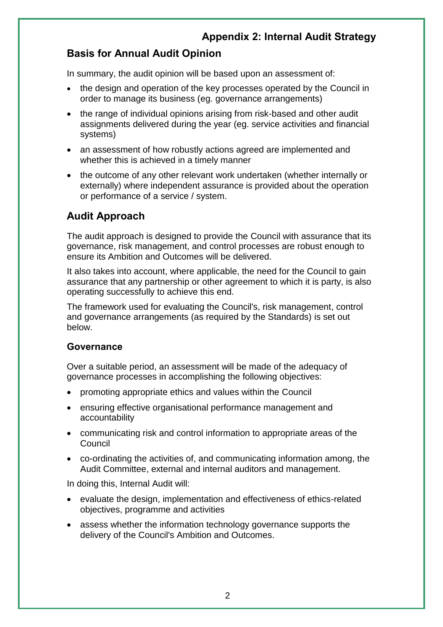## **Basis for Annual Audit Opinion**

In summary, the audit opinion will be based upon an assessment of:

- the design and operation of the key processes operated by the Council in order to manage its business (eg. governance arrangements)
- the range of individual opinions arising from risk-based and other audit assignments delivered during the year (eg. service activities and financial systems)
- an assessment of how robustly actions agreed are implemented and whether this is achieved in a timely manner
- the outcome of any other relevant work undertaken (whether internally or externally) where independent assurance is provided about the operation or performance of a service / system.

# **Audit Approach**

The audit approach is designed to provide the Council with assurance that its governance, risk management, and control processes are robust enough to ensure its Ambition and Outcomes will be delivered.

It also takes into account, where applicable, the need for the Council to gain assurance that any partnership or other agreement to which it is party, is also operating successfully to achieve this end.

The framework used for evaluating the Council's, risk management, control and governance arrangements (as required by the Standards) is set out below.

#### **Governance**

Over a suitable period, an assessment will be made of the adequacy of governance processes in accomplishing the following objectives:

- promoting appropriate ethics and values within the Council
- ensuring effective organisational performance management and accountability
- communicating risk and control information to appropriate areas of the Council
- co-ordinating the activities of, and communicating information among, the Audit Committee, external and internal auditors and management.

In doing this, Internal Audit will:

- evaluate the design, implementation and effectiveness of ethics-related objectives, programme and activities
- assess whether the information technology governance supports the delivery of the Council's Ambition and Outcomes.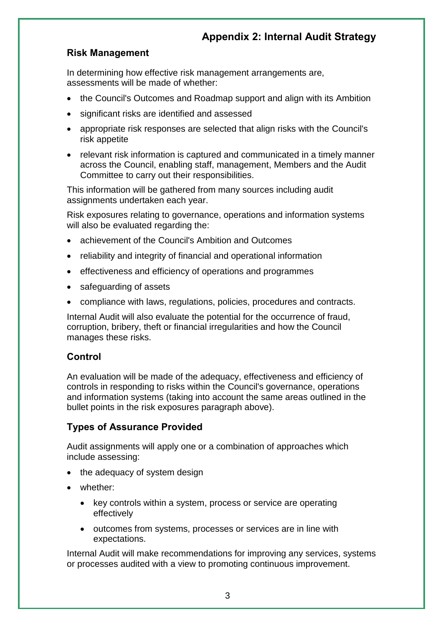#### **Risk Management**

In determining how effective risk management arrangements are, assessments will be made of whether:

- the Council's Outcomes and Roadmap support and align with its Ambition
- significant risks are identified and assessed
- appropriate risk responses are selected that align risks with the Council's risk appetite
- relevant risk information is captured and communicated in a timely manner across the Council, enabling staff, management, Members and the Audit Committee to carry out their responsibilities.

This information will be gathered from many sources including audit assignments undertaken each year.

Risk exposures relating to governance, operations and information systems will also be evaluated regarding the:

- achievement of the Council's Ambition and Outcomes
- reliability and integrity of financial and operational information
- effectiveness and efficiency of operations and programmes
- safeguarding of assets
- compliance with laws, regulations, policies, procedures and contracts.

Internal Audit will also evaluate the potential for the occurrence of fraud, corruption, bribery, theft or financial irregularities and how the Council manages these risks.

#### **Control**

An evaluation will be made of the adequacy, effectiveness and efficiency of controls in responding to risks within the Council's governance, operations and information systems (taking into account the same areas outlined in the bullet points in the risk exposures paragraph above).

#### **Types of Assurance Provided**

Audit assignments will apply one or a combination of approaches which include assessing:

- the adequacy of system design
- whether:
	- key controls within a system, process or service are operating effectively
	- outcomes from systems, processes or services are in line with expectations.

Internal Audit will make recommendations for improving any services, systems or processes audited with a view to promoting continuous improvement.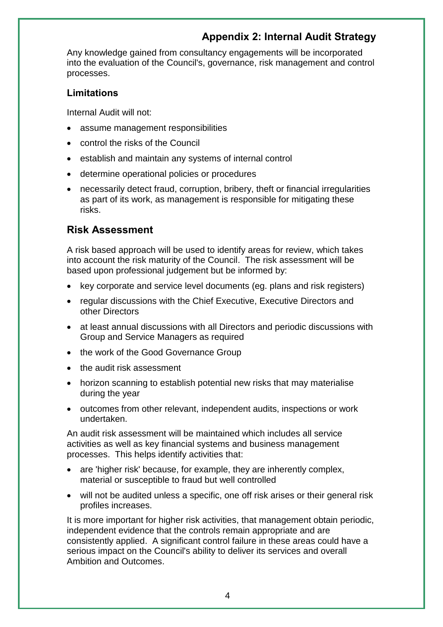Any knowledge gained from consultancy engagements will be incorporated into the evaluation of the Council's, governance, risk management and control processes.

#### **Limitations**

Internal Audit will not:

- assume management responsibilities
- control the risks of the Council
- establish and maintain any systems of internal control
- determine operational policies or procedures
- necessarily detect fraud, corruption, bribery, theft or financial irregularities as part of its work, as management is responsible for mitigating these risks.

# **Risk Assessment**

A risk based approach will be used to identify areas for review, which takes into account the risk maturity of the Council. The risk assessment will be based upon professional judgement but be informed by:

- key corporate and service level documents (eg. plans and risk registers)
- regular discussions with the Chief Executive, Executive Directors and other Directors
- at least annual discussions with all Directors and periodic discussions with Group and Service Managers as required
- the work of the Good Governance Group
- the audit risk assessment
- horizon scanning to establish potential new risks that may materialise during the year
- outcomes from other relevant, independent audits, inspections or work undertaken.

An audit risk assessment will be maintained which includes all service activities as well as key financial systems and business management processes. This helps identify activities that:

- are 'higher risk' because, for example, they are inherently complex, material or susceptible to fraud but well controlled
- will not be audited unless a specific, one off risk arises or their general risk profiles increases.

It is more important for higher risk activities, that management obtain periodic, independent evidence that the controls remain appropriate and are consistently applied. A significant control failure in these areas could have a serious impact on the Council's ability to deliver its services and overall Ambition and Outcomes.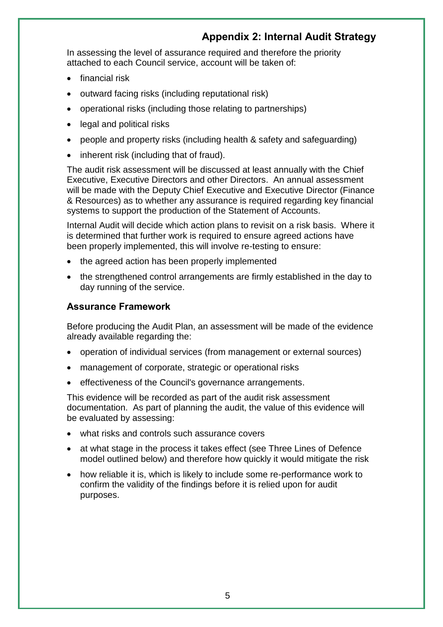In assessing the level of assurance required and therefore the priority attached to each Council service, account will be taken of:

- financial risk
- outward facing risks (including reputational risk)
- operational risks (including those relating to partnerships)
- legal and political risks
- people and property risks (including health & safety and safeguarding)
- inherent risk (including that of fraud).

The audit risk assessment will be discussed at least annually with the Chief Executive, Executive Directors and other Directors. An annual assessment will be made with the Deputy Chief Executive and Executive Director (Finance & Resources) as to whether any assurance is required regarding key financial systems to support the production of the Statement of Accounts.

Internal Audit will decide which action plans to revisit on a risk basis. Where it is determined that further work is required to ensure agreed actions have been properly implemented, this will involve re-testing to ensure:

- the agreed action has been properly implemented
- the strengthened control arrangements are firmly established in the day to day running of the service.

#### **Assurance Framework**

Before producing the Audit Plan, an assessment will be made of the evidence already available regarding the:

- operation of individual services (from management or external sources)
- management of corporate, strategic or operational risks
- effectiveness of the Council's governance arrangements.

This evidence will be recorded as part of the audit risk assessment documentation. As part of planning the audit, the value of this evidence will be evaluated by assessing:

- what risks and controls such assurance covers
- at what stage in the process it takes effect (see Three Lines of Defence model outlined below) and therefore how quickly it would mitigate the risk
- how reliable it is, which is likely to include some re-performance work to confirm the validity of the findings before it is relied upon for audit purposes.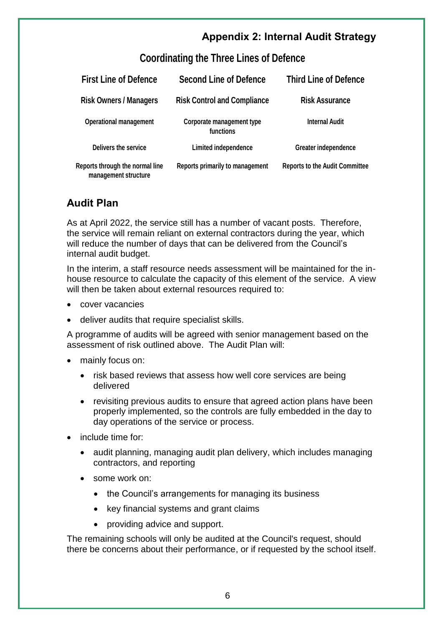## **Coordinating the Three Lines of Defence**

| <b>First Line of Defence</b>                            | <b>Second Line of Defence</b>          | <b>Third Line of Defence</b>          |
|---------------------------------------------------------|----------------------------------------|---------------------------------------|
| <b>Risk Owners / Managers</b>                           | <b>Risk Control and Compliance</b>     | <b>Risk Assurance</b>                 |
| <b>Operational management</b>                           | Corporate management type<br>functions | <b>Internal Audit</b>                 |
| Delivers the service                                    | Limited independence                   | <b>Greater independence</b>           |
| Reports through the normal line<br>management structure | Reports primarily to management        | <b>Reports to the Audit Committee</b> |

# **Audit Plan**

As at April 2022, the service still has a number of vacant posts. Therefore, the service will remain reliant on external contractors during the year, which will reduce the number of days that can be delivered from the Council's internal audit budget.

In the interim, a staff resource needs assessment will be maintained for the inhouse resource to calculate the capacity of this element of the service. A view will then be taken about external resources required to:

- cover vacancies
- deliver audits that require specialist skills.

A programme of audits will be agreed with senior management based on the assessment of risk outlined above. The Audit Plan will:

- mainly focus on:
	- risk based reviews that assess how well core services are being delivered
	- revisiting previous audits to ensure that agreed action plans have been properly implemented, so the controls are fully embedded in the day to day operations of the service or process.
- include time for:
	- audit planning, managing audit plan delivery, which includes managing contractors, and reporting
	- some work on:
		- the Council's arrangements for managing its business
		- key financial systems and grant claims
		- providing advice and support.

The remaining schools will only be audited at the Council's request, should there be concerns about their performance, or if requested by the school itself.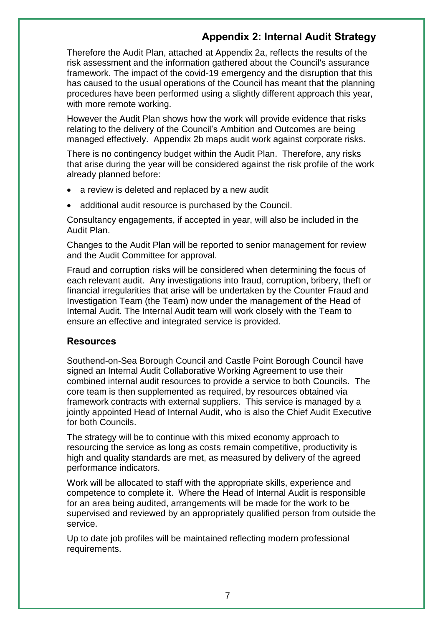Therefore the Audit Plan, attached at Appendix 2a, reflects the results of the risk assessment and the information gathered about the Council's assurance framework. The impact of the covid-19 emergency and the disruption that this has caused to the usual operations of the Council has meant that the planning procedures have been performed using a slightly different approach this year, with more remote working.

However the Audit Plan shows how the work will provide evidence that risks relating to the delivery of the Council's Ambition and Outcomes are being managed effectively. Appendix 2b maps audit work against corporate risks.

There is no contingency budget within the Audit Plan. Therefore, any risks that arise during the year will be considered against the risk profile of the work already planned before:

- a review is deleted and replaced by a new audit
- additional audit resource is purchased by the Council.

Consultancy engagements, if accepted in year, will also be included in the Audit Plan.

Changes to the Audit Plan will be reported to senior management for review and the Audit Committee for approval.

Fraud and corruption risks will be considered when determining the focus of each relevant audit. Any investigations into fraud, corruption, bribery, theft or financial irregularities that arise will be undertaken by the Counter Fraud and Investigation Team (the Team) now under the management of the Head of Internal Audit. The Internal Audit team will work closely with the Team to ensure an effective and integrated service is provided.

#### **Resources**

Southend-on-Sea Borough Council and Castle Point Borough Council have signed an Internal Audit Collaborative Working Agreement to use their combined internal audit resources to provide a service to both Councils. The core team is then supplemented as required, by resources obtained via framework contracts with external suppliers. This service is managed by a jointly appointed Head of Internal Audit, who is also the Chief Audit Executive for both Councils.

The strategy will be to continue with this mixed economy approach to resourcing the service as long as costs remain competitive, productivity is high and quality standards are met, as measured by delivery of the agreed performance indicators.

Work will be allocated to staff with the appropriate skills, experience and competence to complete it. Where the Head of Internal Audit is responsible for an area being audited, arrangements will be made for the work to be supervised and reviewed by an appropriately qualified person from outside the service.

Up to date job profiles will be maintained reflecting modern professional requirements.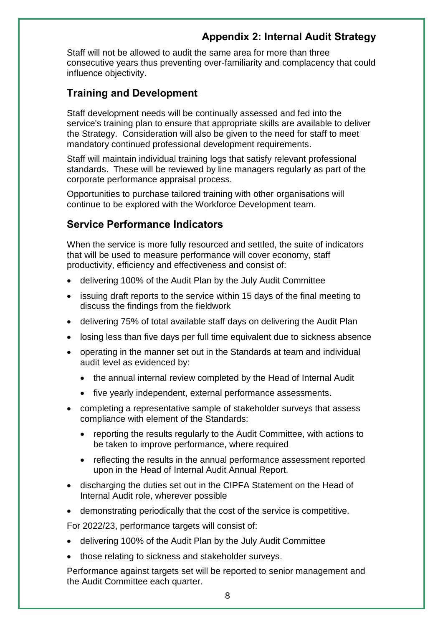Staff will not be allowed to audit the same area for more than three consecutive years thus preventing over-familiarity and complacency that could influence objectivity.

#### **Training and Development**

Staff development needs will be continually assessed and fed into the service's training plan to ensure that appropriate skills are available to deliver the Strategy. Consideration will also be given to the need for staff to meet mandatory continued professional development requirements.

Staff will maintain individual training logs that satisfy relevant professional standards. These will be reviewed by line managers regularly as part of the corporate performance appraisal process.

Opportunities to purchase tailored training with other organisations will continue to be explored with the Workforce Development team.

#### **Service Performance Indicators**

When the service is more fully resourced and settled, the suite of indicators that will be used to measure performance will cover economy, staff productivity, efficiency and effectiveness and consist of:

- delivering 100% of the Audit Plan by the July Audit Committee
- issuing draft reports to the service within 15 days of the final meeting to discuss the findings from the fieldwork
- delivering 75% of total available staff days on delivering the Audit Plan
- losing less than five days per full time equivalent due to sickness absence
- operating in the manner set out in the Standards at team and individual audit level as evidenced by:
	- the annual internal review completed by the Head of Internal Audit
	- five yearly independent, external performance assessments.
- completing a representative sample of stakeholder surveys that assess compliance with element of the Standards:
	- reporting the results regularly to the Audit Committee, with actions to be taken to improve performance, where required
	- reflecting the results in the annual performance assessment reported upon in the Head of Internal Audit Annual Report.
- discharging the duties set out in the CIPFA Statement on the Head of Internal Audit role, wherever possible
- demonstrating periodically that the cost of the service is competitive.

For 2022/23, performance targets will consist of:

- delivering 100% of the Audit Plan by the July Audit Committee
- those relating to sickness and stakeholder surveys.

Performance against targets set will be reported to senior management and the Audit Committee each quarter.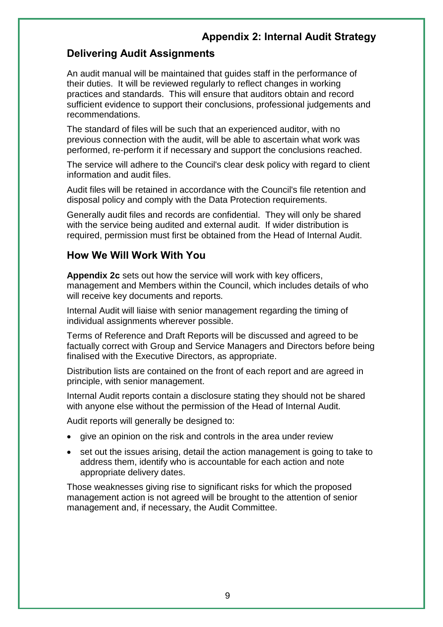## **Delivering Audit Assignments**

An audit manual will be maintained that guides staff in the performance of their duties. It will be reviewed regularly to reflect changes in working practices and standards. This will ensure that auditors obtain and record sufficient evidence to support their conclusions, professional judgements and recommendations.

The standard of files will be such that an experienced auditor, with no previous connection with the audit, will be able to ascertain what work was performed, re-perform it if necessary and support the conclusions reached.

The service will adhere to the Council's clear desk policy with regard to client information and audit files.

Audit files will be retained in accordance with the Council's file retention and disposal policy and comply with the Data Protection requirements.

Generally audit files and records are confidential. They will only be shared with the service being audited and external audit. If wider distribution is required, permission must first be obtained from the Head of Internal Audit.

#### **How We Will Work With You**

**Appendix 2c** sets out how the service will work with key officers, management and Members within the Council, which includes details of who will receive key documents and reports.

Internal Audit will liaise with senior management regarding the timing of individual assignments wherever possible.

Terms of Reference and Draft Reports will be discussed and agreed to be factually correct with Group and Service Managers and Directors before being finalised with the Executive Directors, as appropriate.

Distribution lists are contained on the front of each report and are agreed in principle, with senior management.

Internal Audit reports contain a disclosure stating they should not be shared with anyone else without the permission of the Head of Internal Audit.

Audit reports will generally be designed to:

- give an opinion on the risk and controls in the area under review
- set out the issues arising, detail the action management is going to take to address them, identify who is accountable for each action and note appropriate delivery dates.

Those weaknesses giving rise to significant risks for which the proposed management action is not agreed will be brought to the attention of senior management and, if necessary, the Audit Committee.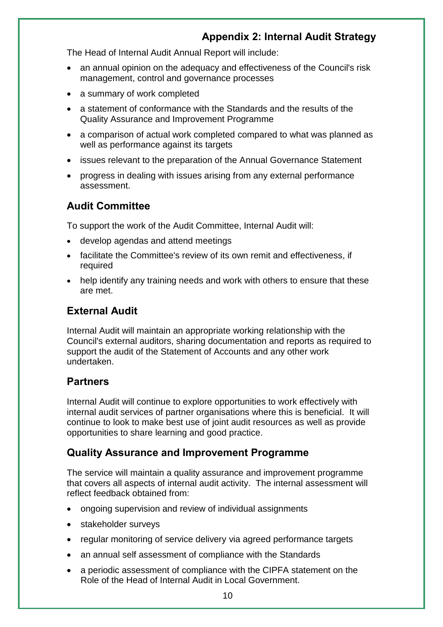The Head of Internal Audit Annual Report will include:

- an annual opinion on the adequacy and effectiveness of the Council's risk management, control and governance processes
- a summary of work completed
- a statement of conformance with the Standards and the results of the Quality Assurance and Improvement Programme
- a comparison of actual work completed compared to what was planned as well as performance against its targets
- issues relevant to the preparation of the Annual Governance Statement
- progress in dealing with issues arising from any external performance assessment.

#### **Audit Committee**

To support the work of the Audit Committee, Internal Audit will:

- develop agendas and attend meetings
- facilitate the Committee's review of its own remit and effectiveness, if required
- help identify any training needs and work with others to ensure that these are met.

#### **External Audit**

Internal Audit will maintain an appropriate working relationship with the Council's external auditors, sharing documentation and reports as required to support the audit of the Statement of Accounts and any other work undertaken.

#### **Partners**

Internal Audit will continue to explore opportunities to work effectively with internal audit services of partner organisations where this is beneficial. It will continue to look to make best use of joint audit resources as well as provide opportunities to share learning and good practice.

#### **Quality Assurance and Improvement Programme**

The service will maintain a quality assurance and improvement programme that covers all aspects of internal audit activity. The internal assessment will reflect feedback obtained from:

- ongoing supervision and review of individual assignments
- stakeholder surveys
- regular monitoring of service delivery via agreed performance targets
- an annual self assessment of compliance with the Standards
- a periodic assessment of compliance with the CIPFA statement on the Role of the Head of Internal Audit in Local Government.